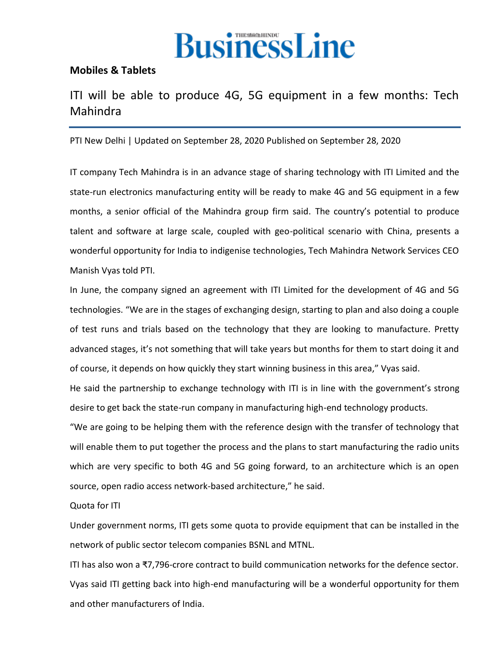

## **[Mobiles & Tablets](https://www.thehindubusinessline.com/info-tech/mobiles-tablets/)**

## ITI will be able to produce 4G, 5G equipment in a few months: Tech Mahindra

PTI New Delhi | Updated on September 28, 2020 Published on September 28, 2020

IT company Tech Mahindra is in an advance stage of sharing technology with ITI Limited and the state-run electronics manufacturing entity will be ready to make 4G and 5G equipment in a few months, a senior official of the Mahindra group firm said. The country's potential to produce talent and software at large scale, coupled with geo-political scenario with China, presents a wonderful opportunity for India to indigenise technologies, Tech Mahindra Network Services CEO Manish Vyas told PTI.

In June, the company signed an agreement with ITI Limited for the development of 4G and 5G technologies. "We are in the stages of exchanging design, starting to plan and also doing a couple of test runs and trials based on the technology that they are looking to manufacture. Pretty advanced stages, it's not something that will take years but months for them to start doing it and of course, it depends on how quickly they start winning business in this area," Vyas said.

He said the partnership to exchange technology with ITI is in line with the government's strong desire to get back the state-run company in manufacturing high-end technology products.

"We are going to be helping them with the reference design with the transfer of technology that will enable them to put together the process and the plans to start manufacturing the radio units which are very specific to both 4G and 5G going forward, to an architecture which is an open source, open radio access network-based architecture," he said.

Quota for ITI

Under government norms, ITI gets some quota to provide equipment that can be installed in the network of public sector telecom companies BSNL and MTNL.

ITI has also won a ₹7,796-crore contract to build communication networks for the defence sector. Vyas said ITI getting back into high-end manufacturing will be a wonderful opportunity for them and other manufacturers of India.